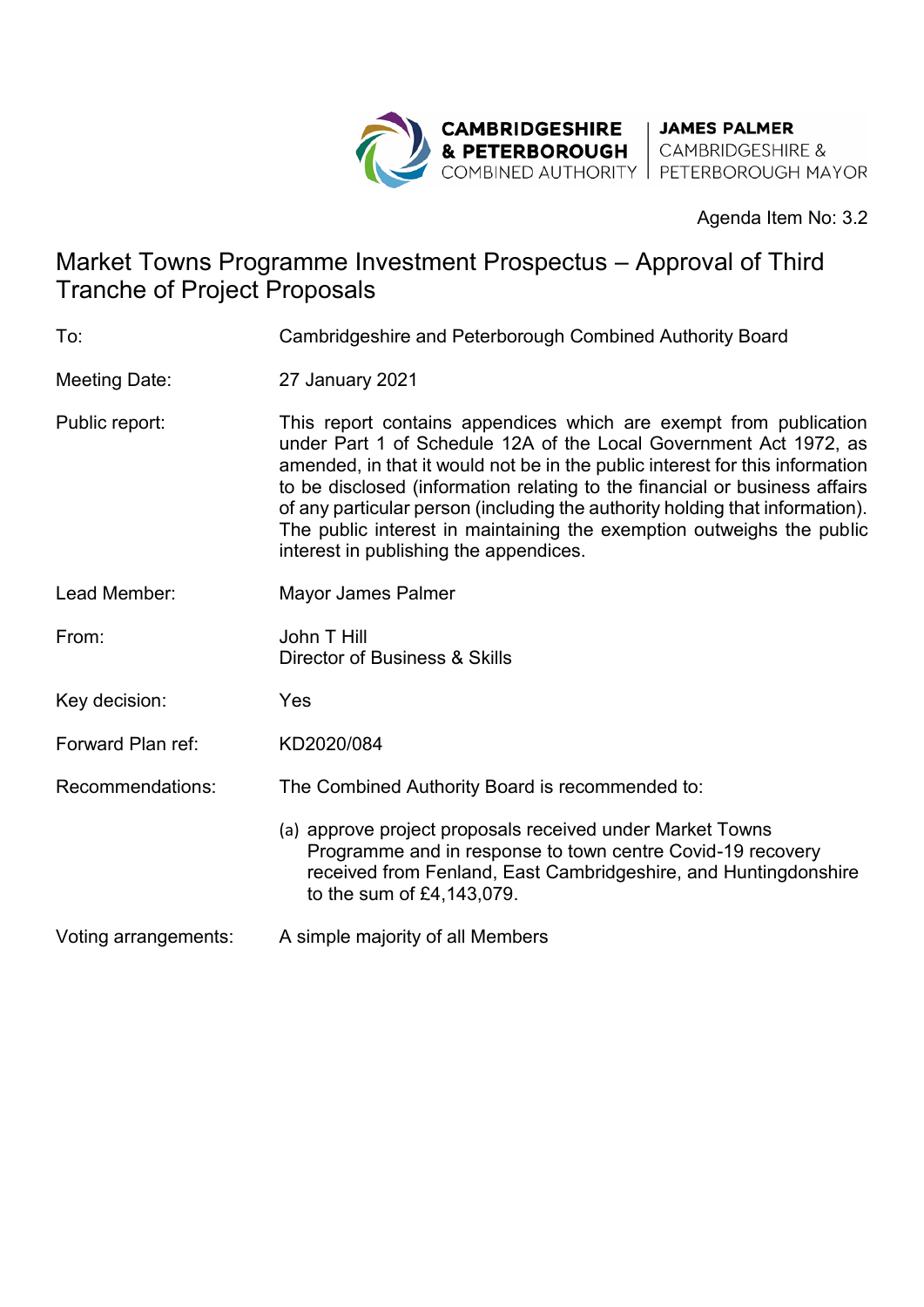

Agenda Item No: 3.2

# Market Towns Programme Investment Prospectus – Approval of Third Tranche of Project Proposals

| To:                  | Cambridgeshire and Peterborough Combined Authority Board                                                                                                                                                                                                                                                                                                                                                                                                                                                |  |
|----------------------|---------------------------------------------------------------------------------------------------------------------------------------------------------------------------------------------------------------------------------------------------------------------------------------------------------------------------------------------------------------------------------------------------------------------------------------------------------------------------------------------------------|--|
| <b>Meeting Date:</b> | 27 January 2021                                                                                                                                                                                                                                                                                                                                                                                                                                                                                         |  |
| Public report:       | This report contains appendices which are exempt from publication<br>under Part 1 of Schedule 12A of the Local Government Act 1972, as<br>amended, in that it would not be in the public interest for this information<br>to be disclosed (information relating to the financial or business affairs<br>of any particular person (including the authority holding that information).<br>The public interest in maintaining the exemption outweighs the public<br>interest in publishing the appendices. |  |
| Lead Member:         | Mayor James Palmer                                                                                                                                                                                                                                                                                                                                                                                                                                                                                      |  |
| From:                | John T Hill<br>Director of Business & Skills                                                                                                                                                                                                                                                                                                                                                                                                                                                            |  |
| Key decision:        | Yes                                                                                                                                                                                                                                                                                                                                                                                                                                                                                                     |  |
| Forward Plan ref:    | KD2020/084                                                                                                                                                                                                                                                                                                                                                                                                                                                                                              |  |
| Recommendations:     | The Combined Authority Board is recommended to:                                                                                                                                                                                                                                                                                                                                                                                                                                                         |  |
|                      | (a) approve project proposals received under Market Towns<br>Programme and in response to town centre Covid-19 recovery<br>received from Fenland, East Cambridgeshire, and Huntingdonshire<br>to the sum of £4,143,079.                                                                                                                                                                                                                                                                                 |  |
| Voting arrangements: | A simple majority of all Members                                                                                                                                                                                                                                                                                                                                                                                                                                                                        |  |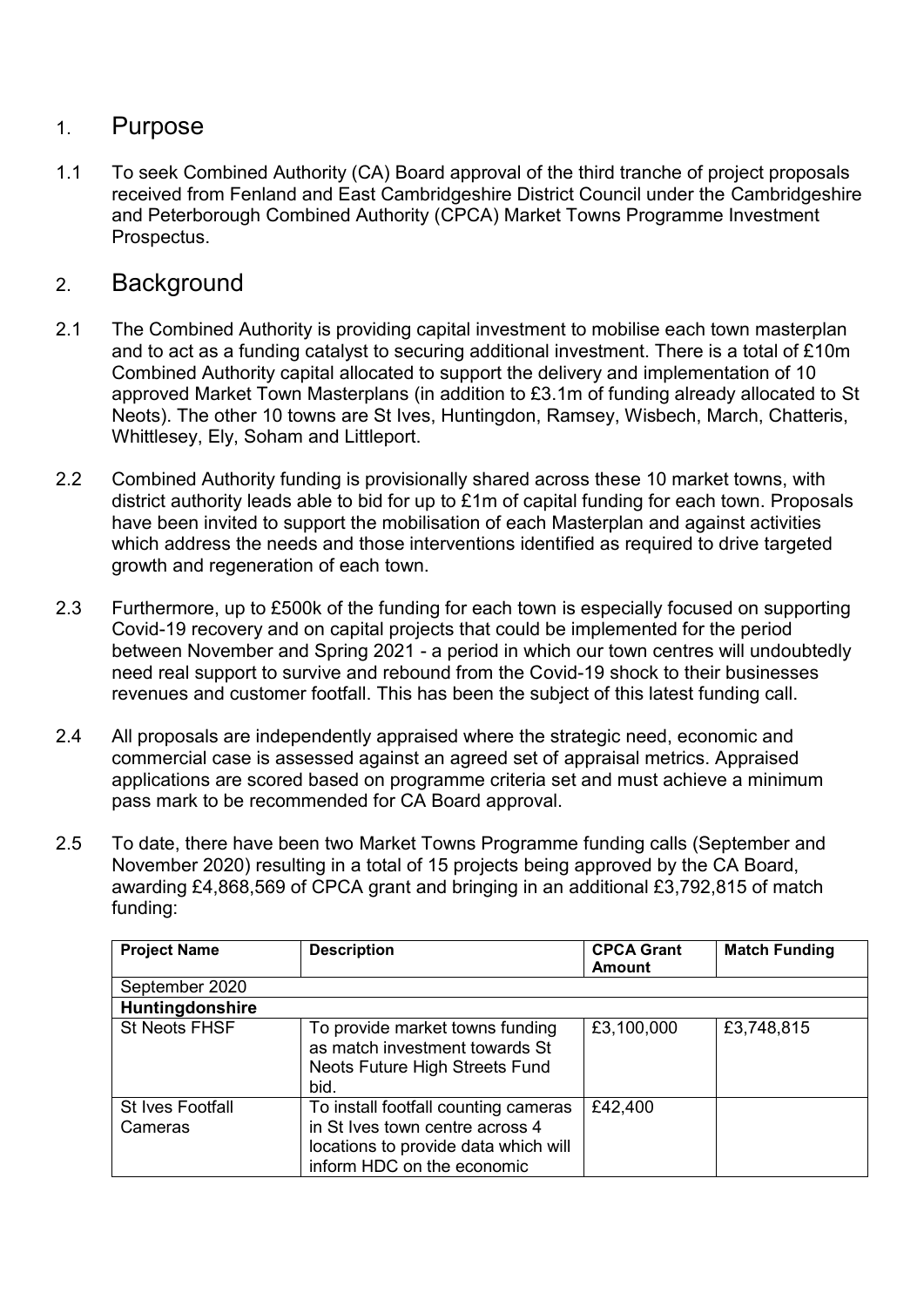#### 1. Purpose

1.1 To seek Combined Authority (CA) Board approval of the third tranche of project proposals received from Fenland and East Cambridgeshire District Council under the Cambridgeshire and Peterborough Combined Authority (CPCA) Market Towns Programme Investment Prospectus.

#### 2. Background

- 2.1 The Combined Authority is providing capital investment to mobilise each town masterplan and to act as a funding catalyst to securing additional investment. There is a total of £10m Combined Authority capital allocated to support the delivery and implementation of 10 approved Market Town Masterplans (in addition to £3.1m of funding already allocated to St Neots). The other 10 towns are St Ives, Huntingdon, Ramsey, Wisbech, March, Chatteris, Whittlesey, Ely, Soham and Littleport.
- 2.2 Combined Authority funding is provisionally shared across these 10 market towns, with district authority leads able to bid for up to £1m of capital funding for each town. Proposals have been invited to support the mobilisation of each Masterplan and against activities which address the needs and those interventions identified as required to drive targeted growth and regeneration of each town.
- 2.3 Furthermore, up to £500k of the funding for each town is especially focused on supporting Covid-19 recovery and on capital projects that could be implemented for the period between November and Spring 2021 - a period in which our town centres will undoubtedly need real support to survive and rebound from the Covid-19 shock to their businesses revenues and customer footfall. This has been the subject of this latest funding call.
- 2.4 All proposals are independently appraised where the strategic need, economic and commercial case is assessed against an agreed set of appraisal metrics. Appraised applications are scored based on programme criteria set and must achieve a minimum pass mark to be recommended for CA Board approval.
- 2.5 To date, there have been two Market Towns Programme funding calls (September and November 2020) resulting in a total of 15 projects being approved by the CA Board, awarding £4,868,569 of CPCA grant and bringing in an additional £3,792,815 of match funding:

| <b>Project Name</b>                | <b>Description</b>                                                                                                                            | <b>CPCA Grant</b><br><b>Amount</b> | <b>Match Funding</b> |
|------------------------------------|-----------------------------------------------------------------------------------------------------------------------------------------------|------------------------------------|----------------------|
| September 2020                     |                                                                                                                                               |                                    |                      |
| Huntingdonshire                    |                                                                                                                                               |                                    |                      |
| <b>St Neots FHSF</b>               | To provide market towns funding<br>as match investment towards St<br>Neots Future High Streets Fund<br>bid.                                   | £3,100,000                         | £3,748,815           |
| <b>St Ives Footfall</b><br>Cameras | To install footfall counting cameras<br>in St Ives town centre across 4<br>locations to provide data which will<br>inform HDC on the economic | £42,400                            |                      |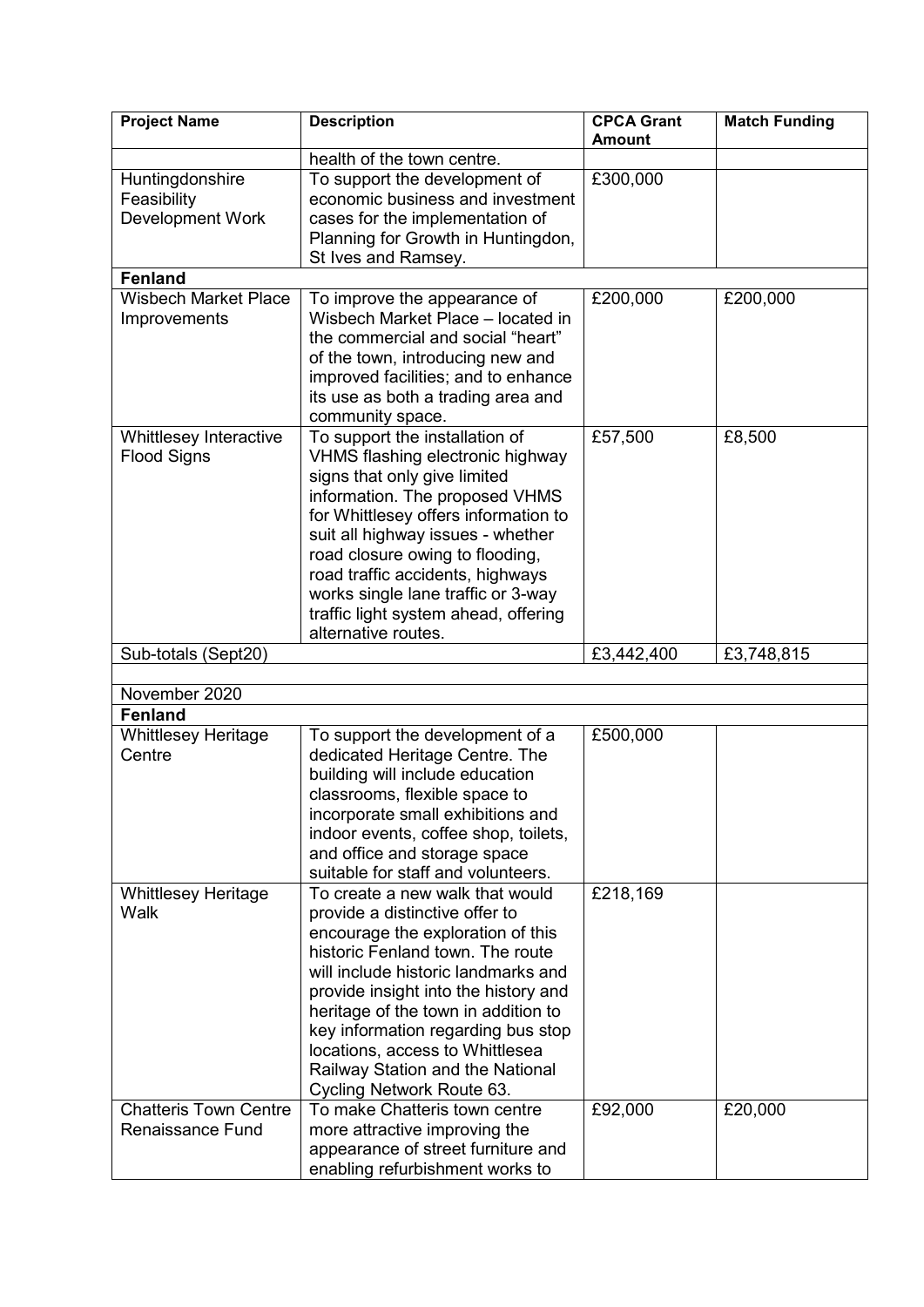| <b>Project Name</b>            | <b>Description</b>                                                    | <b>CPCA Grant</b> | <b>Match Funding</b> |
|--------------------------------|-----------------------------------------------------------------------|-------------------|----------------------|
|                                | health of the town centre.                                            | <b>Amount</b>     |                      |
|                                |                                                                       |                   |                      |
| Huntingdonshire<br>Feasibility | To support the development of<br>economic business and investment     | £300,000          |                      |
| Development Work               | cases for the implementation of                                       |                   |                      |
|                                | Planning for Growth in Huntingdon,                                    |                   |                      |
|                                | St Ives and Ramsey.                                                   |                   |                      |
| <b>Fenland</b>                 |                                                                       |                   |                      |
| <b>Wisbech Market Place</b>    | To improve the appearance of                                          | £200,000          | £200,000             |
| Improvements                   | Wisbech Market Place - located in                                     |                   |                      |
|                                | the commercial and social "heart"                                     |                   |                      |
|                                | of the town, introducing new and                                      |                   |                      |
|                                | improved facilities; and to enhance                                   |                   |                      |
|                                | its use as both a trading area and                                    |                   |                      |
|                                | community space.                                                      |                   |                      |
| Whittlesey Interactive         | To support the installation of                                        | £57,500           | £8,500               |
| <b>Flood Signs</b>             | VHMS flashing electronic highway                                      |                   |                      |
|                                | signs that only give limited                                          |                   |                      |
|                                | information. The proposed VHMS                                        |                   |                      |
|                                | for Whittlesey offers information to                                  |                   |                      |
|                                | suit all highway issues - whether                                     |                   |                      |
|                                | road closure owing to flooding,                                       |                   |                      |
|                                | road traffic accidents, highways                                      |                   |                      |
|                                | works single lane traffic or 3-way                                    |                   |                      |
|                                | traffic light system ahead, offering<br>alternative routes.           |                   |                      |
| Sub-totals (Sept20)            |                                                                       | £3,442,400        | £3,748,815           |
|                                |                                                                       |                   |                      |
| November 2020                  |                                                                       |                   |                      |
| <b>Fenland</b>                 |                                                                       |                   |                      |
| <b>Whittlesey Heritage</b>     | To support the development of a                                       | £500,000          |                      |
| Centre                         | dedicated Heritage Centre. The                                        |                   |                      |
|                                | building will include education                                       |                   |                      |
|                                | classrooms, flexible space to                                         |                   |                      |
|                                | incorporate small exhibitions and                                     |                   |                      |
|                                | indoor events, coffee shop, toilets,                                  |                   |                      |
|                                | and office and storage space                                          |                   |                      |
|                                | suitable for staff and volunteers.                                    |                   |                      |
| <b>Whittlesey Heritage</b>     | To create a new walk that would                                       | £218,169          |                      |
| Walk                           | provide a distinctive offer to                                        |                   |                      |
|                                | encourage the exploration of this                                     |                   |                      |
|                                | historic Fenland town. The route                                      |                   |                      |
|                                | will include historic landmarks and                                   |                   |                      |
|                                | provide insight into the history and                                  |                   |                      |
|                                | heritage of the town in addition to                                   |                   |                      |
|                                | key information regarding bus stop<br>locations, access to Whittlesea |                   |                      |
|                                | Railway Station and the National                                      |                   |                      |
|                                | Cycling Network Route 63.                                             |                   |                      |
| <b>Chatteris Town Centre</b>   | To make Chatteris town centre                                         | £92,000           | £20,000              |
| <b>Renaissance Fund</b>        | more attractive improving the                                         |                   |                      |
|                                | appearance of street furniture and                                    |                   |                      |
|                                | enabling refurbishment works to                                       |                   |                      |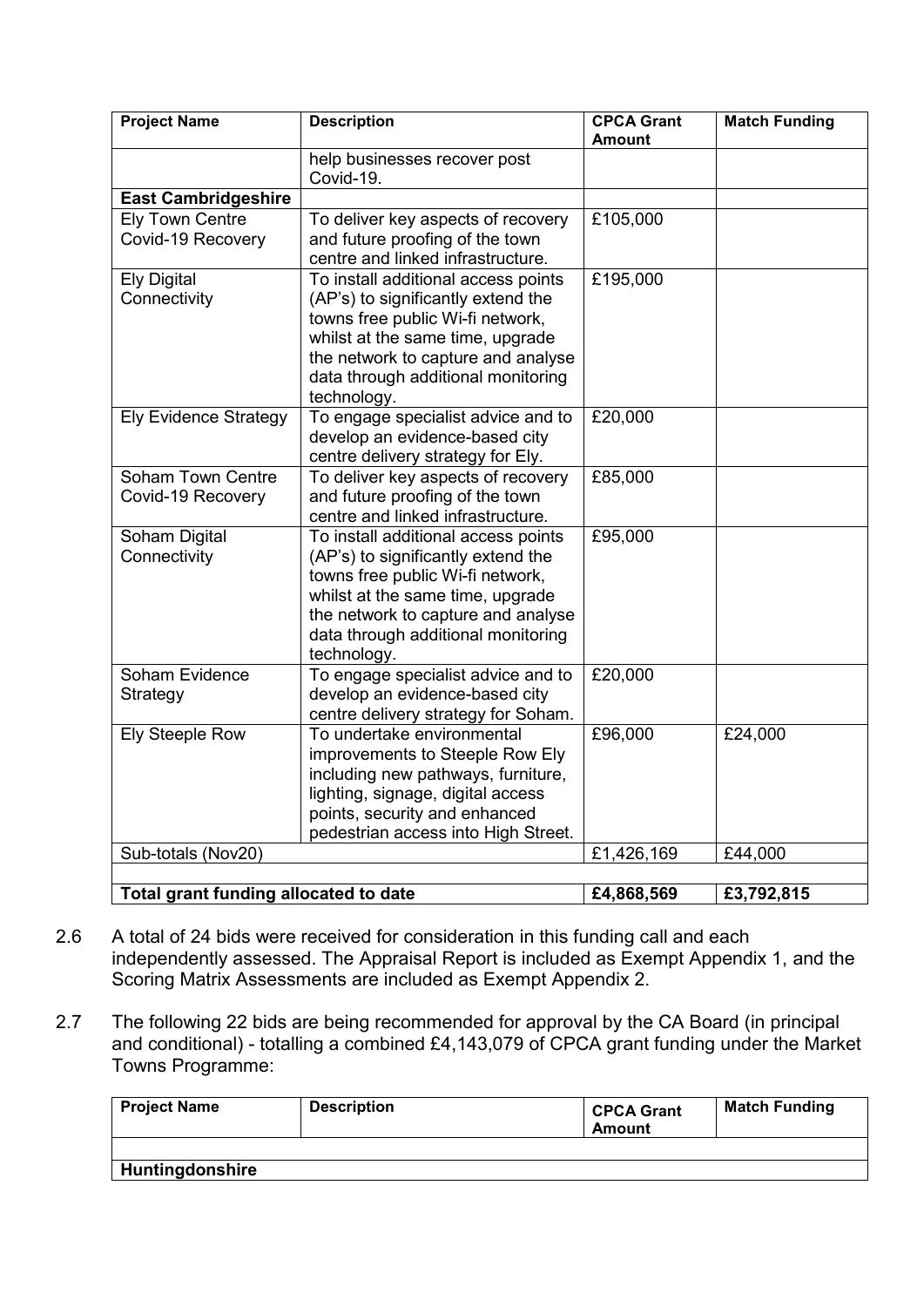| <b>Project Name</b>                   | <b>Description</b>                  | <b>CPCA Grant</b><br><b>Amount</b> | <b>Match Funding</b> |
|---------------------------------------|-------------------------------------|------------------------------------|----------------------|
|                                       | help businesses recover post        |                                    |                      |
|                                       | Covid-19.                           |                                    |                      |
| <b>East Cambridgeshire</b>            |                                     |                                    |                      |
| <b>Ely Town Centre</b>                | To deliver key aspects of recovery  | £105,000                           |                      |
| Covid-19 Recovery                     | and future proofing of the town     |                                    |                      |
|                                       | centre and linked infrastructure.   |                                    |                      |
| <b>Ely Digital</b>                    | To install additional access points | £195,000                           |                      |
| Connectivity                          | (AP's) to significantly extend the  |                                    |                      |
|                                       | towns free public Wi-fi network,    |                                    |                      |
|                                       | whilst at the same time, upgrade    |                                    |                      |
|                                       | the network to capture and analyse  |                                    |                      |
|                                       | data through additional monitoring  |                                    |                      |
|                                       | technology.                         |                                    |                      |
| <b>Ely Evidence Strategy</b>          | To engage specialist advice and to  | £20,000                            |                      |
|                                       | develop an evidence-based city      |                                    |                      |
|                                       | centre delivery strategy for Ely.   |                                    |                      |
| <b>Soham Town Centre</b>              | To deliver key aspects of recovery  | £85,000                            |                      |
| Covid-19 Recovery                     | and future proofing of the town     |                                    |                      |
|                                       | centre and linked infrastructure.   |                                    |                      |
| Soham Digital                         | To install additional access points | £95,000                            |                      |
| Connectivity                          | (AP's) to significantly extend the  |                                    |                      |
|                                       | towns free public Wi-fi network,    |                                    |                      |
|                                       | whilst at the same time, upgrade    |                                    |                      |
|                                       | the network to capture and analyse  |                                    |                      |
|                                       | data through additional monitoring  |                                    |                      |
|                                       | technology.                         |                                    |                      |
| Soham Evidence                        | To engage specialist advice and to  | £20,000                            |                      |
| Strategy                              | develop an evidence-based city      |                                    |                      |
|                                       | centre delivery strategy for Soham. |                                    |                      |
| <b>Ely Steeple Row</b>                | To undertake environmental          | £96,000                            | £24,000              |
|                                       | improvements to Steeple Row Ely     |                                    |                      |
|                                       | including new pathways, furniture,  |                                    |                      |
|                                       | lighting, signage, digital access   |                                    |                      |
|                                       | points, security and enhanced       |                                    |                      |
|                                       | pedestrian access into High Street. |                                    |                      |
| Sub-totals (Nov20)                    |                                     | £1,426,169                         | £44,000              |
|                                       |                                     |                                    |                      |
| Total grant funding allocated to date |                                     | £4,868,569                         | £3,792,815           |

- 2.6 A total of 24 bids were received for consideration in this funding call and each independently assessed. The Appraisal Report is included as Exempt Appendix 1, and the Scoring Matrix Assessments are included as Exempt Appendix 2.
- 2.7 The following 22 bids are being recommended for approval by the CA Board (in principal and conditional) - totalling a combined £4,143,079 of CPCA grant funding under the Market Towns Programme:

| <b>Project Name</b>    | <b>Description</b> | <b>CPCA Grant</b><br><b>Amount</b> | <b>Match Funding</b> |
|------------------------|--------------------|------------------------------------|----------------------|
|                        |                    |                                    |                      |
| <b>Huntingdonshire</b> |                    |                                    |                      |
|                        |                    |                                    |                      |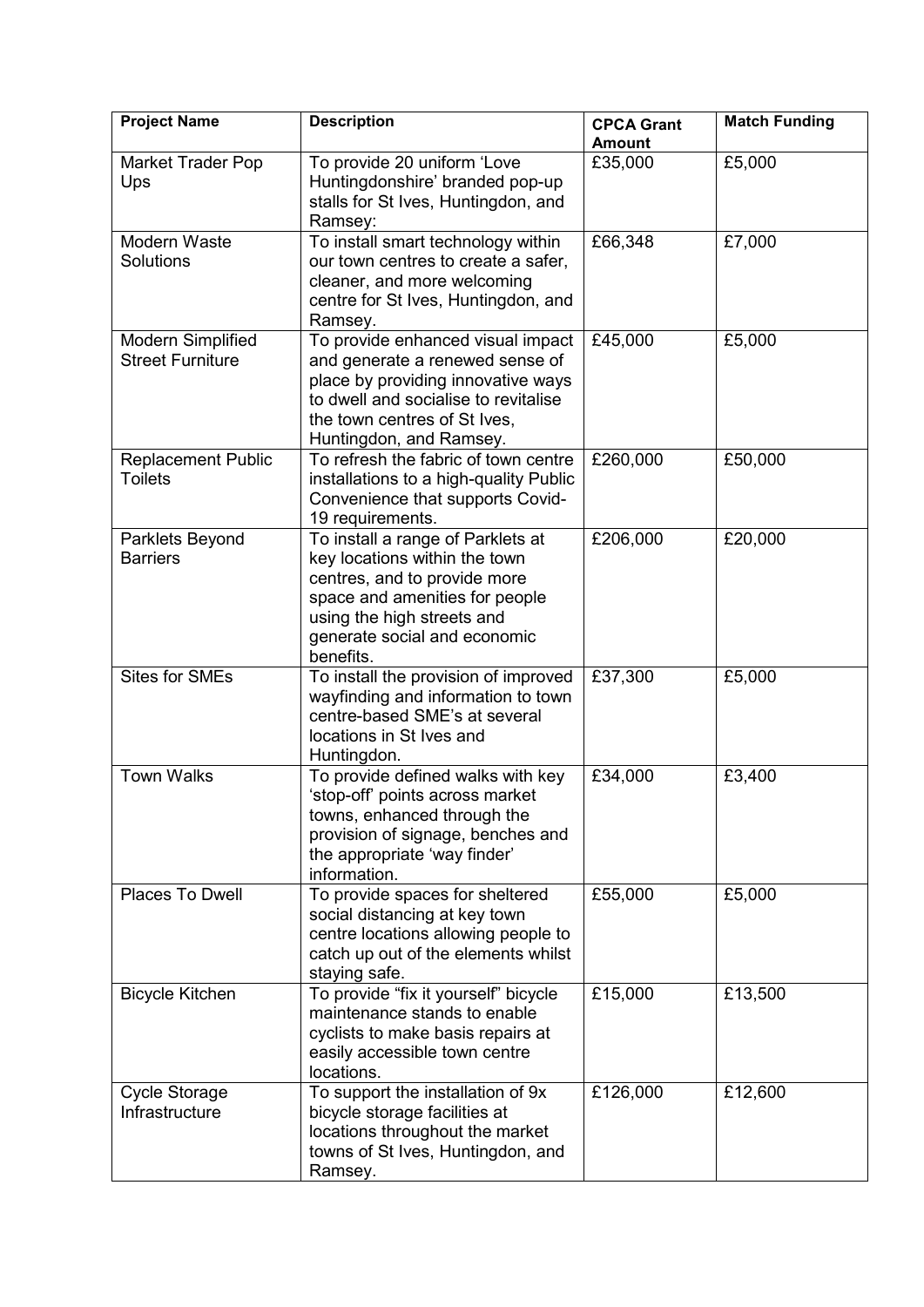| <b>Project Name</b>                          | <b>Description</b>                                                                                                                                                                                              | <b>CPCA Grant</b><br><b>Amount</b> | <b>Match Funding</b> |
|----------------------------------------------|-----------------------------------------------------------------------------------------------------------------------------------------------------------------------------------------------------------------|------------------------------------|----------------------|
| Market Trader Pop<br>Ups                     | To provide 20 uniform 'Love<br>Huntingdonshire' branded pop-up<br>stalls for St Ives, Huntingdon, and<br>Ramsey:                                                                                                | £35,000                            | £5,000               |
| Modern Waste<br>Solutions                    | To install smart technology within<br>our town centres to create a safer,<br>cleaner, and more welcoming<br>centre for St Ives, Huntingdon, and<br>Ramsey.                                                      | £66,348                            | £7,000               |
| Modern Simplified<br><b>Street Furniture</b> | To provide enhanced visual impact<br>and generate a renewed sense of<br>place by providing innovative ways<br>to dwell and socialise to revitalise<br>the town centres of St Ives,<br>Huntingdon, and Ramsey.   | £45,000                            | £5,000               |
| <b>Replacement Public</b><br><b>Toilets</b>  | To refresh the fabric of town centre<br>installations to a high-quality Public<br>Convenience that supports Covid-<br>19 requirements.                                                                          | £260,000                           | £50,000              |
| Parklets Beyond<br><b>Barriers</b>           | To install a range of Parklets at<br>key locations within the town<br>centres, and to provide more<br>space and amenities for people<br>using the high streets and<br>generate social and economic<br>benefits. | £206,000                           | £20,000              |
| <b>Sites for SMEs</b>                        | To install the provision of improved<br>wayfinding and information to town<br>centre-based SME's at several<br>locations in St Ives and<br>Huntingdon.                                                          | £37,300                            | £5,000               |
| <b>Town Walks</b>                            | To provide defined walks with key<br>'stop-off' points across market<br>towns, enhanced through the<br>provision of signage, benches and<br>the appropriate 'way finder'<br>information.                        | £34,000                            | £3,400               |
| Places To Dwell                              | To provide spaces for sheltered<br>social distancing at key town<br>centre locations allowing people to<br>catch up out of the elements whilst<br>staying safe.                                                 | £55,000                            | £5,000               |
| <b>Bicycle Kitchen</b>                       | To provide "fix it yourself" bicycle<br>maintenance stands to enable<br>cyclists to make basis repairs at<br>easily accessible town centre<br>locations.                                                        | £15,000                            | £13,500              |
| <b>Cycle Storage</b><br>Infrastructure       | To support the installation of 9x<br>bicycle storage facilities at<br>locations throughout the market<br>towns of St Ives, Huntingdon, and<br>Ramsey.                                                           | £126,000                           | £12,600              |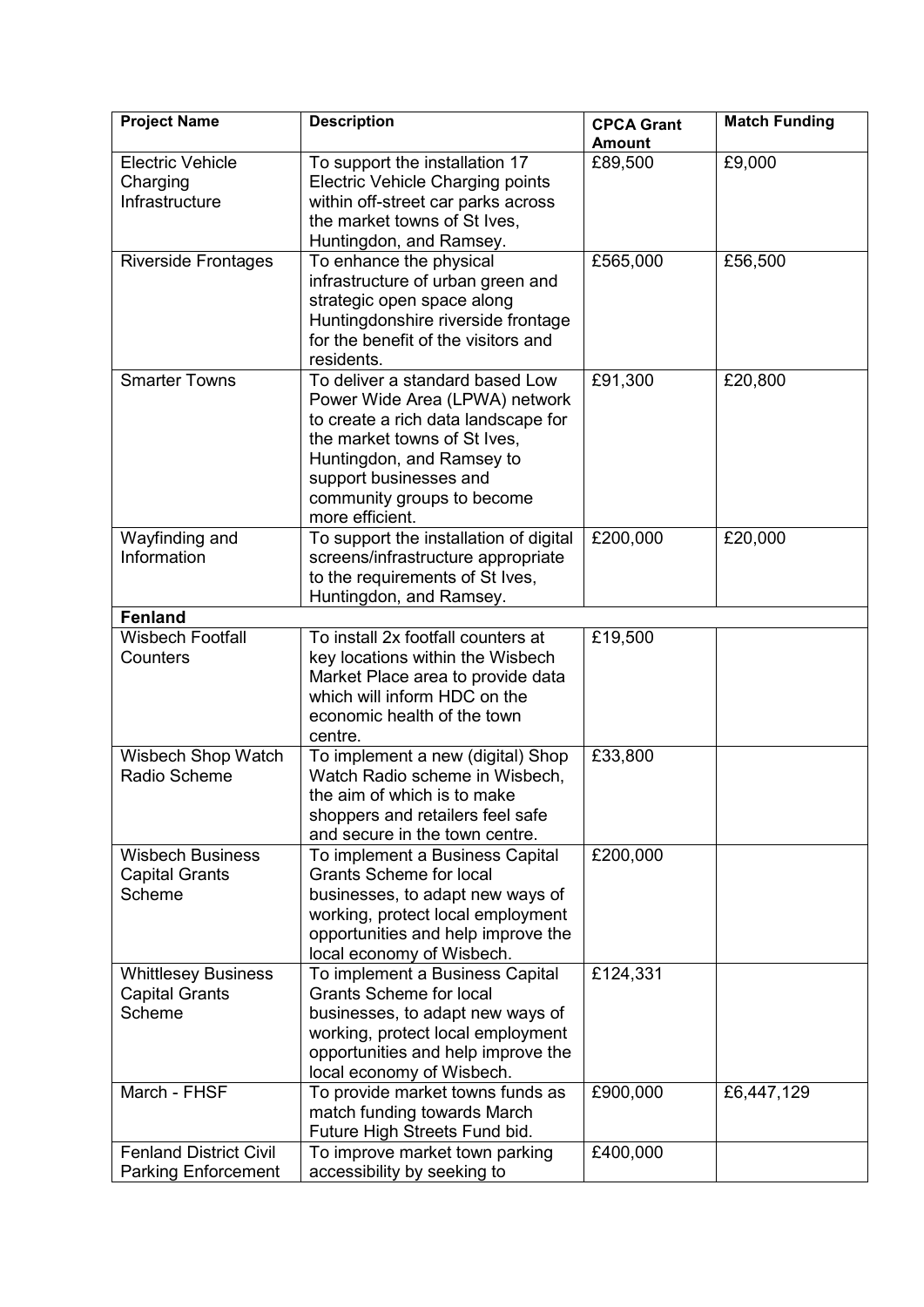| <b>Project Name</b>                                 | <b>Description</b>                                                | <b>CPCA Grant</b><br><b>Amount</b> | <b>Match Funding</b> |
|-----------------------------------------------------|-------------------------------------------------------------------|------------------------------------|----------------------|
| <b>Electric Vehicle</b>                             | To support the installation 17                                    | £89,500                            | £9,000               |
| Charging                                            | Electric Vehicle Charging points                                  |                                    |                      |
| Infrastructure                                      | within off-street car parks across                                |                                    |                      |
|                                                     | the market towns of St Ives,                                      |                                    |                      |
|                                                     | Huntingdon, and Ramsey.                                           |                                    |                      |
| <b>Riverside Frontages</b>                          | To enhance the physical                                           | £565,000                           | £56,500              |
|                                                     | infrastructure of urban green and                                 |                                    |                      |
|                                                     | strategic open space along                                        |                                    |                      |
|                                                     | Huntingdonshire riverside frontage                                |                                    |                      |
|                                                     | for the benefit of the visitors and                               |                                    |                      |
|                                                     | residents.                                                        |                                    |                      |
| <b>Smarter Towns</b>                                | To deliver a standard based Low                                   | £91,300                            | £20,800              |
|                                                     | Power Wide Area (LPWA) network                                    |                                    |                      |
|                                                     | to create a rich data landscape for                               |                                    |                      |
|                                                     | the market towns of St Ives,                                      |                                    |                      |
|                                                     | Huntingdon, and Ramsey to                                         |                                    |                      |
|                                                     | support businesses and                                            |                                    |                      |
|                                                     | community groups to become                                        |                                    |                      |
|                                                     | more efficient.                                                   |                                    |                      |
| Wayfinding and                                      | To support the installation of digital                            | £200,000                           | £20,000              |
| Information                                         | screens/infrastructure appropriate                                |                                    |                      |
|                                                     | to the requirements of St Ives,                                   |                                    |                      |
| <b>Fenland</b>                                      | Huntingdon, and Ramsey.                                           |                                    |                      |
| <b>Wisbech Footfall</b>                             | To install 2x footfall counters at                                | £19,500                            |                      |
| Counters                                            | key locations within the Wisbech                                  |                                    |                      |
|                                                     | Market Place area to provide data                                 |                                    |                      |
|                                                     | which will inform HDC on the                                      |                                    |                      |
|                                                     | economic health of the town                                       |                                    |                      |
|                                                     | centre.                                                           |                                    |                      |
| Wisbech Shop Watch                                  | To implement a new (digital) Shop                                 | £33,800                            |                      |
| Radio Scheme                                        | Watch Radio scheme in Wisbech,                                    |                                    |                      |
|                                                     | the aim of which is to make                                       |                                    |                      |
|                                                     | shoppers and retailers feel safe                                  |                                    |                      |
|                                                     | and secure in the town centre.                                    |                                    |                      |
| <b>Wisbech Business</b>                             | To implement a Business Capital                                   | £200,000                           |                      |
| <b>Capital Grants</b>                               | <b>Grants Scheme for local</b>                                    |                                    |                      |
| Scheme                                              | businesses, to adapt new ways of                                  |                                    |                      |
|                                                     | working, protect local employment                                 |                                    |                      |
|                                                     | opportunities and help improve the                                |                                    |                      |
|                                                     | local economy of Wisbech.                                         | £124,331                           |                      |
| <b>Whittlesey Business</b><br><b>Capital Grants</b> | To implement a Business Capital<br><b>Grants Scheme for local</b> |                                    |                      |
| Scheme                                              | businesses, to adapt new ways of                                  |                                    |                      |
|                                                     | working, protect local employment                                 |                                    |                      |
|                                                     | opportunities and help improve the                                |                                    |                      |
|                                                     | local economy of Wisbech.                                         |                                    |                      |
| March - FHSF                                        | To provide market towns funds as                                  | £900,000                           | £6,447,129           |
|                                                     | match funding towards March                                       |                                    |                      |
|                                                     | Future High Streets Fund bid.                                     |                                    |                      |
| <b>Fenland District Civil</b>                       | To improve market town parking                                    | £400,000                           |                      |
| <b>Parking Enforcement</b>                          | accessibility by seeking to                                       |                                    |                      |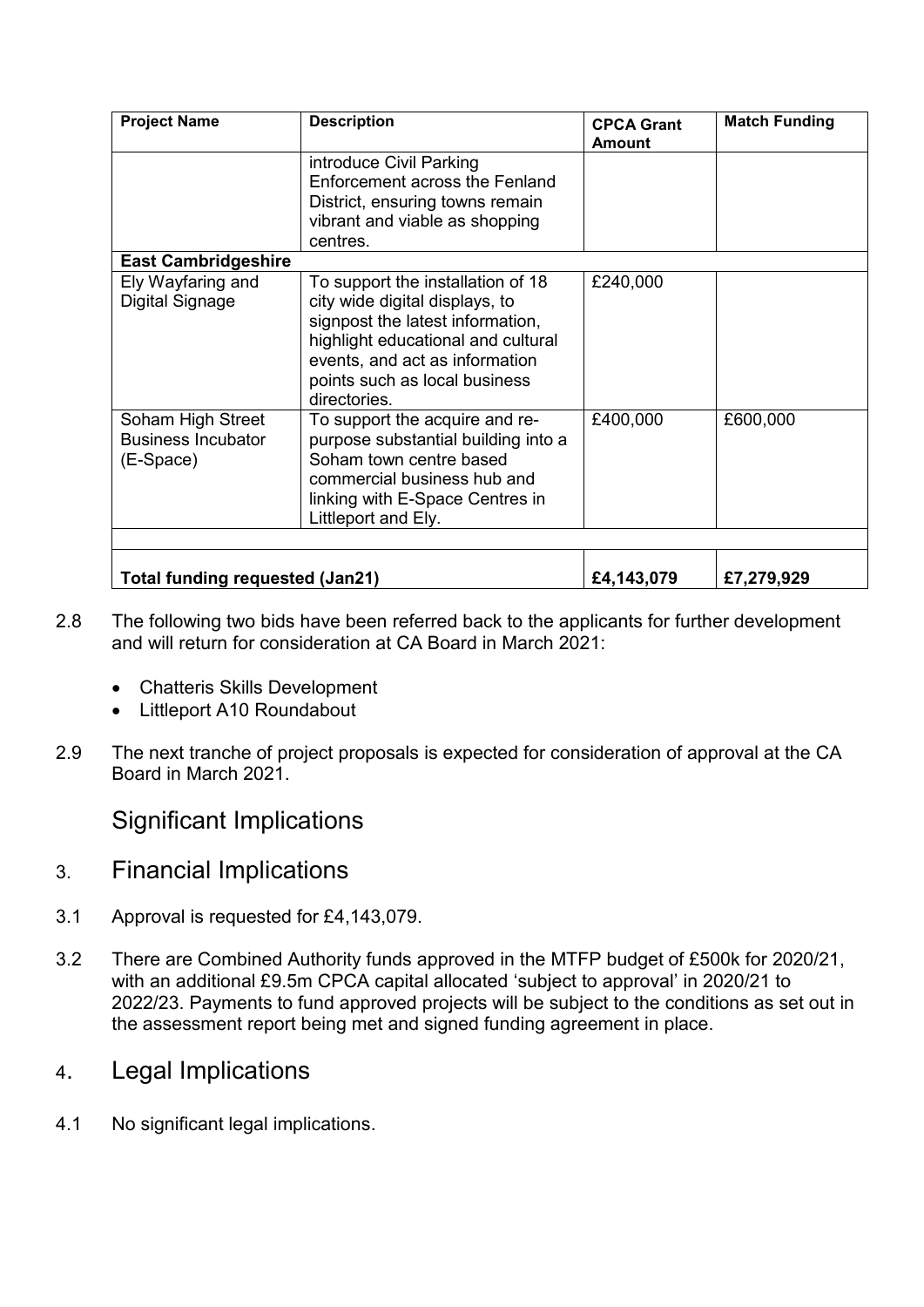| <b>Project Name</b>                                         | <b>Description</b>                                                                                                                                                                                                               | <b>CPCA Grant</b><br><b>Amount</b> | <b>Match Funding</b> |
|-------------------------------------------------------------|----------------------------------------------------------------------------------------------------------------------------------------------------------------------------------------------------------------------------------|------------------------------------|----------------------|
|                                                             | introduce Civil Parking                                                                                                                                                                                                          |                                    |                      |
|                                                             | Enforcement across the Fenland                                                                                                                                                                                                   |                                    |                      |
|                                                             | District, ensuring towns remain                                                                                                                                                                                                  |                                    |                      |
|                                                             | vibrant and viable as shopping                                                                                                                                                                                                   |                                    |                      |
|                                                             | centres.                                                                                                                                                                                                                         |                                    |                      |
| <b>East Cambridgeshire</b>                                  |                                                                                                                                                                                                                                  |                                    |                      |
| Ely Wayfaring and<br>Digital Signage                        | To support the installation of 18<br>city wide digital displays, to<br>signpost the latest information,<br>highlight educational and cultural<br>events, and act as information<br>points such as local business<br>directories. | £240,000                           |                      |
| Soham High Street<br><b>Business Incubator</b><br>(E-Space) | To support the acquire and re-<br>purpose substantial building into a<br>Soham town centre based<br>commercial business hub and<br>linking with E-Space Centres in<br>Littleport and Ely.                                        | £400,000                           | £600,000             |
| £4,143,079<br>Total funding requested (Jan21)<br>£7,279,929 |                                                                                                                                                                                                                                  |                                    |                      |

- 2.8 The following two bids have been referred back to the applicants for further development and will return for consideration at CA Board in March 2021:
	- Chatteris Skills Development
	- Littleport A10 Roundabout
- 2.9 The next tranche of project proposals is expected for consideration of approval at the CA Board in March 2021.

Significant Implications

- 3. Financial Implications
- 3.1 Approval is requested for £4,143,079.
- 3.2 There are Combined Authority funds approved in the MTFP budget of £500k for 2020/21, with an additional £9.5m CPCA capital allocated 'subject to approval' in 2020/21 to 2022/23. Payments to fund approved projects will be subject to the conditions as set out in the assessment report being met and signed funding agreement in place.
- 4. Legal Implications
- 4.1 No significant legal implications.